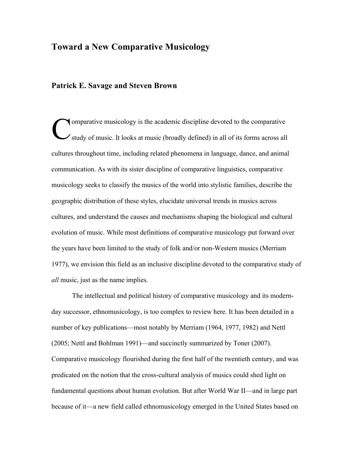# **Toward a New Comparative Musicology**

### **Patrick E. Savage and Steven Brown**

omparative musicology is the academic discipline devoted to the comparative study of music. It looks at music (broadly defined) in all of its forms across all cultures throughout time, including related phenomena in language, dance, and animal communication. As with its sister discipline of comparative linguistics, comparative musicology seeks to classify the musics of the world into stylistic families, describe the geographic distribution of these styles, elucidate universal trends in musics across cultures, and understand the causes and mechanisms shaping the biological and cultural evolution of music. While most definitions of comparative musicology put forward over the years have been limited to the study of folk and/or non-Western musics (Merriam 1977), we envision this field as an inclusive discipline devoted to the comparative study of *all* music, just as the name implies. C

The intellectual and political history of comparative musicology and its modernday successor, ethnomusicology, is too complex to review here. It has been detailed in a number of key publications—most notably by Merriam (1964, 1977, 1982) and Nettl (2005; Nettl and Bohlman 1991)—and succinctly summarized by Toner (2007). Comparative musicology flourished during the first half of the twentieth century, and was predicated on the notion that the cross-cultural analysis of musics could shed light on fundamental questions about human evolution. But after World War II—and in large part because of it—a new field called ethnomusicology emerged in the United States based on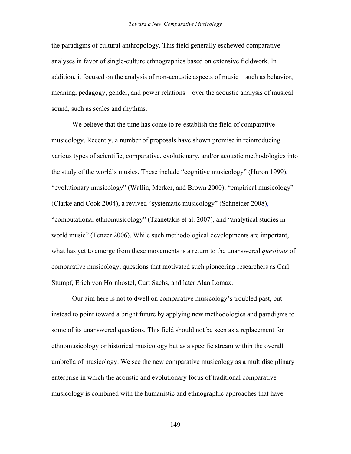the paradigms of cultural anthropology. This field generally eschewed comparative analyses in favor of single-culture ethnographies based on extensive fieldwork. In addition, it focused on the analysis of non-acoustic aspects of music—such as behavior, meaning, pedagogy, gender, and power relations—over the acoustic analysis of musical sound, such as scales and rhythms.

We believe that the time has come to re-establish the field of comparative musicology. Recently, a number of proposals have shown promise in reintroducing various types of scientific, comparative, evolutionary, and/or acoustic methodologies into the study of the world's musics. These include "cognitive musicology" (Huron 1999), "evolutionary musicology" (Wallin, Merker, and Brown 2000), "empirical musicology" (Clarke and Cook 2004), a revived "systematic musicology" (Schneider 2008), "computational ethnomusicology" (Tzanetakis et al. 2007), and "analytical studies in world music" (Tenzer 2006). While such methodological developments are important, what has yet to emerge from these movements is a return to the unanswered *questions* of comparative musicology, questions that motivated such pioneering researchers as Carl Stumpf, Erich von Hornbostel, Curt Sachs, and later Alan Lomax.

Our aim here is not to dwell on comparative musicology's troubled past, but instead to point toward a bright future by applying new methodologies and paradigms to some of its unanswered questions. This field should not be seen as a replacement for ethnomusicology or historical musicology but as a specific stream within the overall umbrella of musicology. We see the new comparative musicology as a multidisciplinary enterprise in which the acoustic and evolutionary focus of traditional comparative musicology is combined with the humanistic and ethnographic approaches that have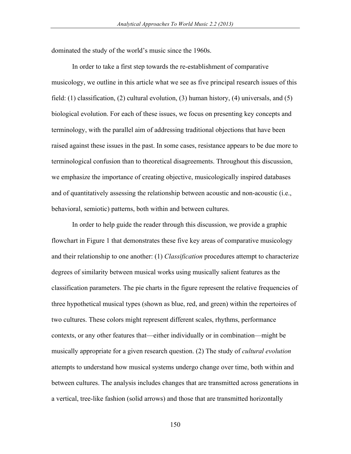dominated the study of the world's music since the 1960s.

In order to take a first step towards the re-establishment of comparative musicology, we outline in this article what we see as five principal research issues of this field: (1) classification, (2) cultural evolution, (3) human history, (4) universals, and (5) biological evolution. For each of these issues, we focus on presenting key concepts and terminology, with the parallel aim of addressing traditional objections that have been raised against these issues in the past. In some cases, resistance appears to be due more to terminological confusion than to theoretical disagreements. Throughout this discussion, we emphasize the importance of creating objective, musicologically inspired databases and of quantitatively assessing the relationship between acoustic and non-acoustic (i.e., behavioral, semiotic) patterns, both within and between cultures.

In order to help guide the reader through this discussion, we provide a graphic flowchart in Figure 1 that demonstrates these five key areas of comparative musicology and their relationship to one another: (1) *Classification* procedures attempt to characterize degrees of similarity between musical works using musically salient features as the classification parameters. The pie charts in the figure represent the relative frequencies of three hypothetical musical types (shown as blue, red, and green) within the repertoires of two cultures. These colors might represent different scales, rhythms, performance contexts, or any other features that—either individually or in combination—might be musically appropriate for a given research question. (2) The study of *cultural evolution* attempts to understand how musical systems undergo change over time, both within and between cultures. The analysis includes changes that are transmitted across generations in a vertical, tree-like fashion (solid arrows) and those that are transmitted horizontally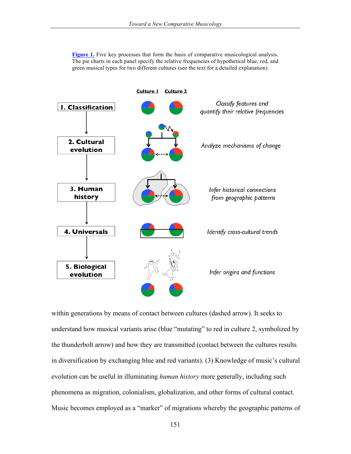**Figure 1.** Five key processes that form the basis of comparative musicological analysis. The pie charts in each panel specify the relative frequencies of hypothetical blue, red, and green musical types for two different cultures (see the text for a detailed explanation).



within generations by means of contact between cultures (dashed arrow). It seeks to understand how musical variants arise (blue "mutating" to red in culture 2, symbolized by the thunderbolt arrow) and how they are transmitted (contact between the cultures results in diversification by exchanging blue and red variants). (3) Knowledge of music's cultural evolution can be useful in illuminating *human history* more generally, including such phenomena as migration, colonialism, globalization, and other forms of cultural contact. Music becomes employed as a "marker" of migrations whereby the geographic patterns of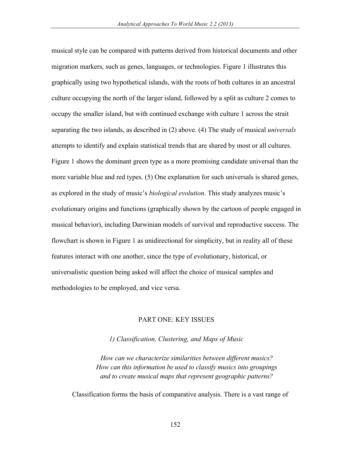musical style can be compared with patterns derived from historical documents and other migration markers, such as genes, languages, or technologies. Figure 1 illustrates this graphically using two hypothetical islands, with the roots of both cultures in an ancestral culture occupying the north of the larger island, followed by a split as culture 2 comes to occupy the smaller island, but with continued exchange with culture 1 across the strait separating the two islands, as described in (2) above. (4) The study of musical *universals* attempts to identify and explain statistical trends that are shared by most or all cultures. Figure 1 shows the dominant green type as a more promising candidate universal than the more variable blue and red types. (5) One explanation for such universals is shared genes, as explored in the study of music's *biological evolution*. This study analyzes music's evolutionary origins and functions (graphically shown by the cartoon of people engaged in musical behavior), including Darwinian models of survival and reproductive success. The flowchart is shown in Figure 1 as unidirectional for simplicity, but in reality all of these features interact with one another, since the type of evolutionary, historical, or universalistic question being asked will affect the choice of musical samples and methodologies to be employed, and vice versa.

### PART ONE: KEY ISSUES

*1) Classification, Clustering, and Maps of Music*

*How can we characterize similarities between different musics? How can this information be used to classify musics into groupings and to create musical maps that represent geographic patterns?*

Classification forms the basis of comparative analysis. There is a vast range of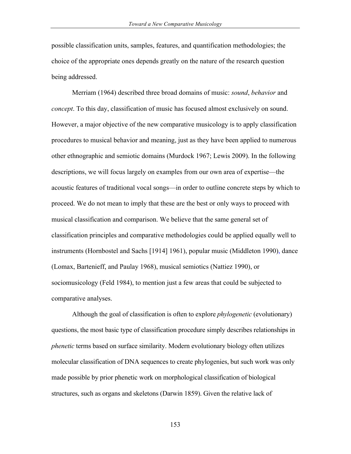possible classification units, samples, features, and quantification methodologies; the choice of the appropriate ones depends greatly on the nature of the research question being addressed.

Merriam (1964) described three broad domains of music: *sound*, *behavior* and *concept*. To this day, classification of music has focused almost exclusively on sound. However, a major objective of the new comparative musicology is to apply classification procedures to musical behavior and meaning, just as they have been applied to numerous other ethnographic and semiotic domains (Murdock 1967; Lewis 2009). In the following descriptions, we will focus largely on examples from our own area of expertise—the acoustic features of traditional vocal songs—in order to outline concrete steps by which to proceed. We do not mean to imply that these are the best or only ways to proceed with musical classification and comparison. We believe that the same general set of classification principles and comparative methodologies could be applied equally well to instruments (Hornbostel and Sachs [1914] 1961), popular music (Middleton 1990), dance (Lomax, Bartenieff, and Paulay 1968), musical semiotics (Nattiez 1990), or sociomusicology (Feld 1984), to mention just a few areas that could be subjected to comparative analyses.

Although the goal of classification is often to explore *phylogenetic* (evolutionary) questions, the most basic type of classification procedure simply describes relationships in *phenetic* terms based on surface similarity. Modern evolutionary biology often utilizes molecular classification of DNA sequences to create phylogenies, but such work was only made possible by prior phenetic work on morphological classification of biological structures, such as organs and skeletons (Darwin 1859). Given the relative lack of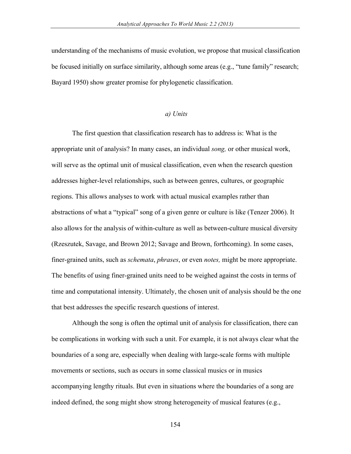understanding of the mechanisms of music evolution, we propose that musical classification be focused initially on surface similarity, although some areas (e.g., "tune family" research; Bayard 1950) show greater promise for phylogenetic classification.

#### *a) Units*

The first question that classification research has to address is: What is the appropriate unit of analysis? In many cases, an individual *song,* or other musical work, will serve as the optimal unit of musical classification, even when the research question addresses higher-level relationships, such as between genres, cultures, or geographic regions. This allows analyses to work with actual musical examples rather than abstractions of what a "typical" song of a given genre or culture is like (Tenzer 2006). It also allows for the analysis of within-culture as well as between-culture musical diversity (Rzeszutek, Savage, and Brown 2012; Savage and Brown, forthcoming). In some cases, finer-grained units, such as *schemata*, *phrases*, or even *notes,* might be more appropriate. The benefits of using finer-grained units need to be weighed against the costs in terms of time and computational intensity. Ultimately, the chosen unit of analysis should be the one that best addresses the specific research questions of interest.

Although the song is often the optimal unit of analysis for classification, there can be complications in working with such a unit. For example, it is not always clear what the boundaries of a song are, especially when dealing with large-scale forms with multiple movements or sections, such as occurs in some classical musics or in musics accompanying lengthy rituals. But even in situations where the boundaries of a song are indeed defined, the song might show strong heterogeneity of musical features (e.g.,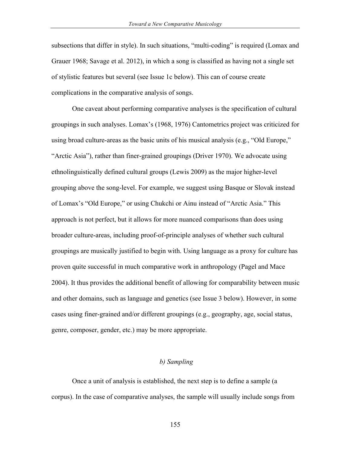subsections that differ in style). In such situations, "multi-coding" is required (Lomax and Grauer 1968; Savage et al. 2012), in which a song is classified as having not a single set of stylistic features but several (see Issue 1c below). This can of course create complications in the comparative analysis of songs.

One caveat about performing comparative analyses is the specification of cultural groupings in such analyses. Lomax's (1968, 1976) Cantometrics project was criticized for using broad culture-areas as the basic units of his musical analysis (e.g., "Old Europe," "Arctic Asia"), rather than finer-grained groupings (Driver 1970). We advocate using ethnolinguistically defined cultural groups (Lewis 2009) as the major higher-level grouping above the song-level. For example, we suggest using Basque or Slovak instead of Lomax's "Old Europe," or using Chukchi or Ainu instead of "Arctic Asia." This approach is not perfect, but it allows for more nuanced comparisons than does using broader culture-areas, including proof-of-principle analyses of whether such cultural groupings are musically justified to begin with. Using language as a proxy for culture has proven quite successful in much comparative work in anthropology (Pagel and Mace 2004). It thus provides the additional benefit of allowing for comparability between music and other domains, such as language and genetics (see Issue 3 below). However, in some cases using finer-grained and/or different groupings (e.g., geography, age, social status, genre, composer, gender, etc.) may be more appropriate.

### *b) Sampling*

Once a unit of analysis is established, the next step is to define a sample (a corpus). In the case of comparative analyses, the sample will usually include songs from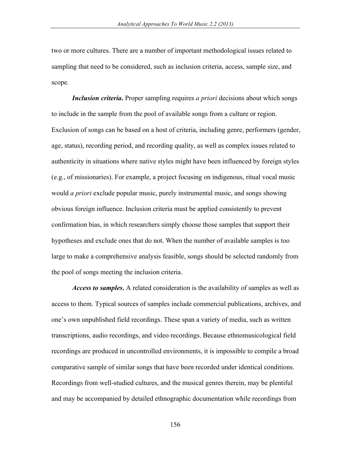two or more cultures. There are a number of important methodological issues related to sampling that need to be considered, such as inclusion criteria, access, sample size, and scope.

*Inclusion criteria***.** Proper sampling requires *a priori* decisions about which songs to include in the sample from the pool of available songs from a culture or region. Exclusion of songs can be based on a host of criteria, including genre, performers (gender, age, status), recording period, and recording quality, as well as complex issues related to authenticity in situations where native styles might have been influenced by foreign styles (e.g., of missionaries). For example, a project focusing on indigenous, ritual vocal music would *a priori* exclude popular music, purely instrumental music, and songs showing obvious foreign influence. Inclusion criteria must be applied consistently to prevent confirmation bias, in which researchers simply choose those samples that support their hypotheses and exclude ones that do not. When the number of available samples is too large to make a comprehensive analysis feasible, songs should be selected randomly from the pool of songs meeting the inclusion criteria.

*Access to samples***.** A related consideration is the availability of samples as well as access to them. Typical sources of samples include commercial publications, archives, and one's own unpublished field recordings. These span a variety of media, such as written transcriptions, audio recordings, and video recordings. Because ethnomusicological field recordings are produced in uncontrolled environments, it is impossible to compile a broad comparative sample of similar songs that have been recorded under identical conditions. Recordings from well-studied cultures, and the musical genres therein, may be plentiful and may be accompanied by detailed ethnographic documentation while recordings from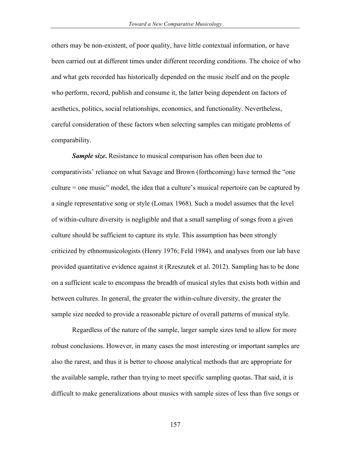others may be non-existent, of poor quality, have little contextual information, or have been carried out at different times under different recording conditions. The choice of who and what gets recorded has historically depended on the music itself and on the people who perform, record, publish and consume it, the latter being dependent on factors of aesthetics, politics, social relationships, economics, and functionality. Nevertheless, careful consideration of these factors when selecting samples can mitigate problems of comparability.

*Sample size***.** Resistance to musical comparison has often been due to comparativists' reliance on what Savage and Brown (forthcoming) have termed the "one culture = one music" model, the idea that a culture's musical repertoire can be captured by a single representative song or style (Lomax 1968). Such a model assumes that the level of within-culture diversity is negligible and that a small sampling of songs from a given culture should be sufficient to capture its style. This assumption has been strongly criticized by ethnomusicologists (Henry 1976; Feld 1984), and analyses from our lab have provided quantitative evidence against it (Rzeszutek et al. 2012). Sampling has to be done on a sufficient scale to encompass the breadth of musical styles that exists both within and between cultures. In general, the greater the within-culture diversity, the greater the sample size needed to provide a reasonable picture of overall patterns of musical style.

Regardless of the nature of the sample, larger sample sizes tend to allow for more robust conclusions. However, in many cases the most interesting or important samples are also the rarest, and thus it is better to choose analytical methods that are appropriate for the available sample, rather than trying to meet specific sampling quotas. That said, it is difficult to make generalizations about musics with sample sizes of less than five songs or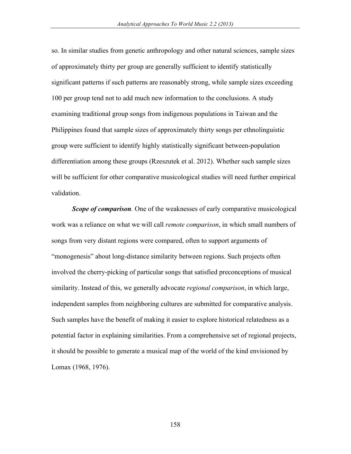so. In similar studies from genetic anthropology and other natural sciences, sample sizes of approximately thirty per group are generally sufficient to identify statistically significant patterns if such patterns are reasonably strong, while sample sizes exceeding 100 per group tend not to add much new information to the conclusions. A study examining traditional group songs from indigenous populations in Taiwan and the Philippines found that sample sizes of approximately thirty songs per ethnolinguistic group were sufficient to identify highly statistically significant between-population differentiation among these groups (Rzeszutek et al. 2012). Whether such sample sizes will be sufficient for other comparative musicological studies will need further empirical validation.

*Scope of comparison.* One of the weaknesses of early comparative musicological work was a reliance on what we will call *remote comparison*, in which small numbers of songs from very distant regions were compared, often to support arguments of "monogenesis" about long-distance similarity between regions. Such projects often involved the cherry-picking of particular songs that satisfied preconceptions of musical similarity. Instead of this, we generally advocate *regional comparison*, in which large, independent samples from neighboring cultures are submitted for comparative analysis. Such samples have the benefit of making it easier to explore historical relatedness as a potential factor in explaining similarities. From a comprehensive set of regional projects, it should be possible to generate a musical map of the world of the kind envisioned by Lomax (1968, 1976).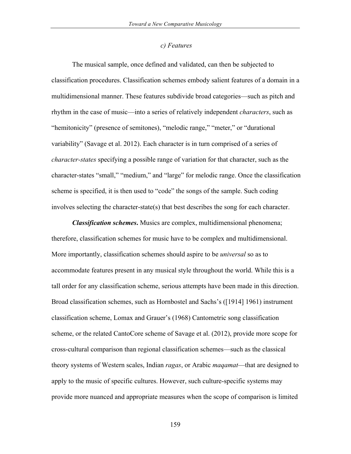#### *c) Features*

The musical sample, once defined and validated, can then be subjected to classification procedures. Classification schemes embody salient features of a domain in a multidimensional manner. These features subdivide broad categories—such as pitch and rhythm in the case of music—into a series of relatively independent *characters*, such as "hemitonicity" (presence of semitones), "melodic range," "meter," or "durational variability" (Savage et al. 2012). Each character is in turn comprised of a series of *character-states* specifying a possible range of variation for that character, such as the character-states "small," "medium," and "large" for melodic range. Once the classification scheme is specified, it is then used to "code" the songs of the sample. Such coding involves selecting the character-state(s) that best describes the song for each character.

*Classification schemes***.** Musics are complex, multidimensional phenomena; therefore, classification schemes for music have to be complex and multidimensional. More importantly, classification schemes should aspire to be *universal* so as to accommodate features present in any musical style throughout the world. While this is a tall order for any classification scheme, serious attempts have been made in this direction. Broad classification schemes, such as Hornbostel and Sachs's ([1914] 1961) instrument classification scheme, Lomax and Grauer's (1968) Cantometric song classification scheme, or the related CantoCore scheme of Savage et al. (2012), provide more scope for cross-cultural comparison than regional classification schemes—such as the classical theory systems of Western scales, Indian *ragas*, or Arabic *maqamat*—that are designed to apply to the music of specific cultures. However, such culture-specific systems may provide more nuanced and appropriate measures when the scope of comparison is limited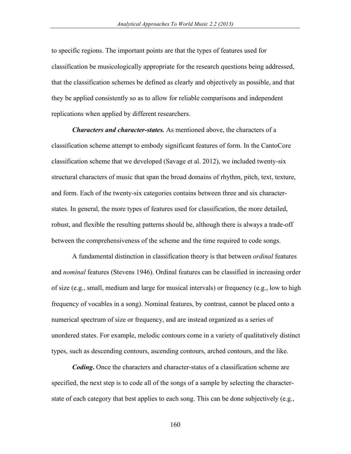to specific regions. The important points are that the types of features used for classification be musicologically appropriate for the research questions being addressed, that the classification schemes be defined as clearly and objectively as possible, and that they be applied consistently so as to allow for reliable comparisons and independent replications when applied by different researchers.

*Characters and character-states.* As mentioned above, the characters of a classification scheme attempt to embody significant features of form. In the CantoCore classification scheme that we developed (Savage et al. 2012), we included twenty-six structural characters of music that span the broad domains of rhythm, pitch, text, texture, and form. Each of the twenty-six categories contains between three and six characterstates. In general, the more types of features used for classification, the more detailed, robust, and flexible the resulting patterns should be, although there is always a trade-off between the comprehensiveness of the scheme and the time required to code songs.

A fundamental distinction in classification theory is that between *ordinal* features and *nominal* features (Stevens 1946). Ordinal features can be classified in increasing order of size (e.g., small, medium and large for musical intervals) or frequency (e.g., low to high frequency of vocables in a song). Nominal features, by contrast, cannot be placed onto a numerical spectrum of size or frequency, and are instead organized as a series of unordered states. For example, melodic contours come in a variety of qualitatively distinct types, such as descending contours, ascending contours, arched contours, and the like.

*Coding***.** Once the characters and character-states of a classification scheme are specified, the next step is to code all of the songs of a sample by selecting the characterstate of each category that best applies to each song. This can be done subjectively (e.g.,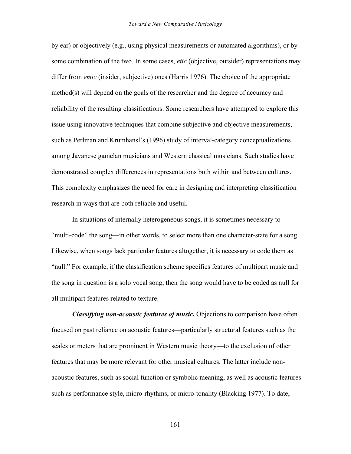by ear) or objectively (e.g., using physical measurements or automated algorithms), or by some combination of the two. In some cases, *etic* (objective, outsider) representations may differ from *emic* (insider, subjective) ones (Harris 1976). The choice of the appropriate method(s) will depend on the goals of the researcher and the degree of accuracy and reliability of the resulting classifications. Some researchers have attempted to explore this issue using innovative techniques that combine subjective and objective measurements, such as Perlman and Krumhansl's (1996) study of interval-category conceptualizations among Javanese gamelan musicians and Western classical musicians. Such studies have demonstrated complex differences in representations both within and between cultures. This complexity emphasizes the need for care in designing and interpreting classification research in ways that are both reliable and useful.

In situations of internally heterogeneous songs, it is sometimes necessary to "multi-code" the song––in other words, to select more than one character-state for a song. Likewise, when songs lack particular features altogether, it is necessary to code them as "null." For example, if the classification scheme specifies features of multipart music and the song in question is a solo vocal song, then the song would have to be coded as null for all multipart features related to texture.

*Classifying non-acoustic features of music.* Objections to comparison have often focused on past reliance on acoustic features—particularly structural features such as the scales or meters that are prominent in Western music theory—to the exclusion of other features that may be more relevant for other musical cultures. The latter include nonacoustic features, such as social function or symbolic meaning, as well as acoustic features such as performance style, micro-rhythms, or micro-tonality (Blacking 1977). To date,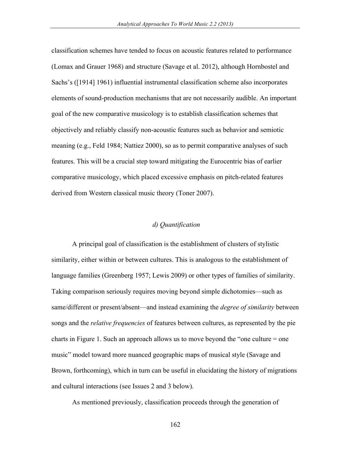classification schemes have tended to focus on acoustic features related to performance (Lomax and Grauer 1968) and structure (Savage et al. 2012), although Hornbostel and Sachs's ([1914] 1961) influential instrumental classification scheme also incorporates elements of sound-production mechanisms that are not necessarily audible. An important goal of the new comparative musicology is to establish classification schemes that objectively and reliably classify non-acoustic features such as behavior and semiotic meaning (e.g., Feld 1984; Nattiez 2000), so as to permit comparative analyses of such features. This will be a crucial step toward mitigating the Eurocentric bias of earlier comparative musicology, which placed excessive emphasis on pitch-related features derived from Western classical music theory (Toner 2007).

### *d) Quantification*

A principal goal of classification is the establishment of clusters of stylistic similarity, either within or between cultures. This is analogous to the establishment of language families (Greenberg 1957; Lewis 2009) or other types of families of similarity. Taking comparison seriously requires moving beyond simple dichotomies—such as same/different or present/absent—and instead examining the *degree of similarity* between songs and the *relative frequencies* of features between cultures, as represented by the pie charts in Figure 1. Such an approach allows us to move beyond the "one culture = one music" model toward more nuanced geographic maps of musical style (Savage and Brown, forthcoming), which in turn can be useful in elucidating the history of migrations and cultural interactions (see Issues 2 and 3 below).

As mentioned previously, classification proceeds through the generation of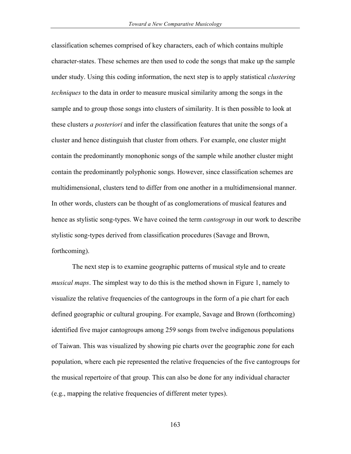classification schemes comprised of key characters, each of which contains multiple character-states. These schemes are then used to code the songs that make up the sample under study. Using this coding information, the next step is to apply statistical *clustering techniques* to the data in order to measure musical similarity among the songs in the sample and to group those songs into clusters of similarity. It is then possible to look at these clusters *a posteriori* and infer the classification features that unite the songs of a cluster and hence distinguish that cluster from others. For example, one cluster might contain the predominantly monophonic songs of the sample while another cluster might contain the predominantly polyphonic songs. However, since classification schemes are multidimensional, clusters tend to differ from one another in a multidimensional manner. In other words, clusters can be thought of as conglomerations of musical features and hence as stylistic song-types. We have coined the term *cantogroup* in our work to describe stylistic song-types derived from classification procedures (Savage and Brown, forthcoming).

The next step is to examine geographic patterns of musical style and to create *musical maps*. The simplest way to do this is the method shown in Figure 1, namely to visualize the relative frequencies of the cantogroups in the form of a pie chart for each defined geographic or cultural grouping. For example, Savage and Brown (forthcoming) identified five major cantogroups among 259 songs from twelve indigenous populations of Taiwan. This was visualized by showing pie charts over the geographic zone for each population, where each pie represented the relative frequencies of the five cantogroups for the musical repertoire of that group. This can also be done for any individual character (e.g., mapping the relative frequencies of different meter types).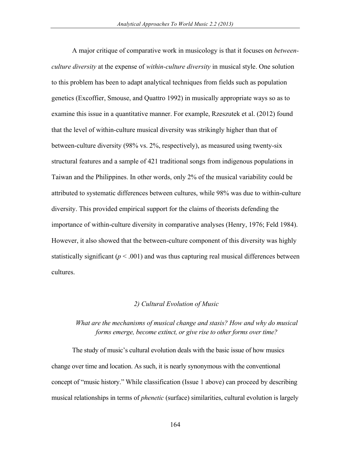A major critique of comparative work in musicology is that it focuses on *betweenculture diversity* at the expense of *within-culture diversity* in musical style. One solution to this problem has been to adapt analytical techniques from fields such as population genetics (Excoffier, Smouse, and Quattro 1992) in musically appropriate ways so as to examine this issue in a quantitative manner. For example, Rzeszutek et al. (2012) found that the level of within-culture musical diversity was strikingly higher than that of between-culture diversity (98% vs. 2%, respectively), as measured using twenty-six structural features and a sample of 421 traditional songs from indigenous populations in Taiwan and the Philippines. In other words, only 2% of the musical variability could be attributed to systematic differences between cultures, while 98% was due to within-culture diversity. This provided empirical support for the claims of theorists defending the importance of within-culture diversity in comparative analyses (Henry, 1976; Feld 1984). However, it also showed that the between-culture component of this diversity was highly statistically significant  $(p < .001)$  and was thus capturing real musical differences between cultures.

### *2) Cultural Evolution of Music*

## *What are the mechanisms of musical change and stasis? How and why do musical forms emerge, become extinct, or give rise to other forms over time?*

The study of music's cultural evolution deals with the basic issue of how musics change over time and location. As such, it is nearly synonymous with the conventional concept of "music history." While classification (Issue 1 above) can proceed by describing musical relationships in terms of *phenetic* (surface) similarities, cultural evolution is largely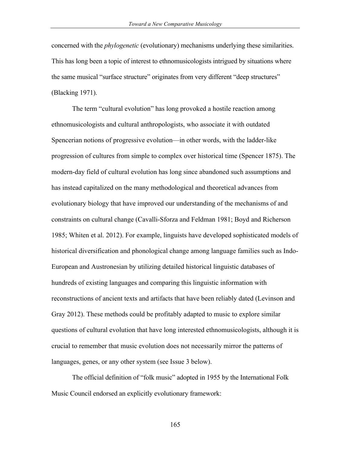concerned with the *phylogenetic* (evolutionary) mechanisms underlying these similarities. This has long been a topic of interest to ethnomusicologists intrigued by situations where the same musical "surface structure" originates from very different "deep structures" (Blacking 1971).

The term "cultural evolution" has long provoked a hostile reaction among ethnomusicologists and cultural anthropologists, who associate it with outdated Spencerian notions of progressive evolution––in other words, with the ladder-like progression of cultures from simple to complex over historical time (Spencer 1875). The modern-day field of cultural evolution has long since abandoned such assumptions and has instead capitalized on the many methodological and theoretical advances from evolutionary biology that have improved our understanding of the mechanisms of and constraints on cultural change (Cavalli-Sforza and Feldman 1981; Boyd and Richerson 1985; Whiten et al. 2012). For example, linguists have developed sophisticated models of historical diversification and phonological change among language families such as Indo-European and Austronesian by utilizing detailed historical linguistic databases of hundreds of existing languages and comparing this linguistic information with reconstructions of ancient texts and artifacts that have been reliably dated (Levinson and Gray 2012). These methods could be profitably adapted to music to explore similar questions of cultural evolution that have long interested ethnomusicologists, although it is crucial to remember that music evolution does not necessarily mirror the patterns of languages, genes, or any other system (see Issue 3 below).

The official definition of "folk music" adopted in 1955 by the International Folk Music Council endorsed an explicitly evolutionary framework: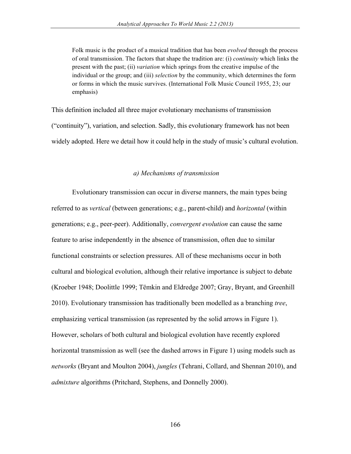Folk music is the product of a musical tradition that has been *evolved* through the process of oral transmission. The factors that shape the tradition are: (i) *continuity* which links the present with the past; (ii) *variation* which springs from the creative impulse of the individual or the group; and (iii) *selection* by the community, which determines the form or forms in which the music survives. (International Folk Music Council 1955, 23; our emphasis)

This definition included all three major evolutionary mechanisms of transmission ("continuity"), variation, and selection. Sadly, this evolutionary framework has not been widely adopted. Here we detail how it could help in the study of music's cultural evolution.

### *a) Mechanisms of transmission*

Evolutionary transmission can occur in diverse manners, the main types being referred to as *vertical* (between generations; e.g., parent-child) and *horizontal* (within generations; e.g., peer-peer). Additionally, *convergent evolution* can cause the same feature to arise independently in the absence of transmission, often due to similar functional constraints or selection pressures. All of these mechanisms occur in both cultural and biological evolution, although their relative importance is subject to debate (Kroeber 1948; Doolittle 1999; Tëmkin and Eldredge 2007; Gray, Bryant, and Greenhill 2010). Evolutionary transmission has traditionally been modelled as a branching *tree*, emphasizing vertical transmission (as represented by the solid arrows in Figure 1). However, scholars of both cultural and biological evolution have recently explored horizontal transmission as well (see the dashed arrows in Figure 1) using models such as *networks* (Bryant and Moulton 2004), *jungles* (Tehrani, Collard, and Shennan 2010), and *admixture* algorithms (Pritchard, Stephens, and Donnelly 2000).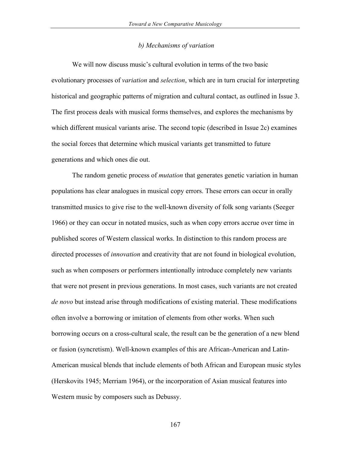#### *b) Mechanisms of variation*

We will now discuss music's cultural evolution in terms of the two basic evolutionary processes of *variation* and *selection*, which are in turn crucial for interpreting historical and geographic patterns of migration and cultural contact, as outlined in Issue 3. The first process deals with musical forms themselves, and explores the mechanisms by which different musical variants arise. The second topic (described in Issue 2c) examines the social forces that determine which musical variants get transmitted to future generations and which ones die out.

The random genetic process of *mutation* that generates genetic variation in human populations has clear analogues in musical copy errors. These errors can occur in orally transmitted musics to give rise to the well-known diversity of folk song variants (Seeger 1966) or they can occur in notated musics, such as when copy errors accrue over time in published scores of Western classical works. In distinction to this random process are directed processes of *innovation* and creativity that are not found in biological evolution, such as when composers or performers intentionally introduce completely new variants that were not present in previous generations. In most cases, such variants are not created *de novo* but instead arise through modifications of existing material. These modifications often involve a borrowing or imitation of elements from other works. When such borrowing occurs on a cross-cultural scale, the result can be the generation of a new blend or fusion (syncretism). Well-known examples of this are African-American and Latin-American musical blends that include elements of both African and European music styles (Herskovits 1945; Merriam 1964), or the incorporation of Asian musical features into Western music by composers such as Debussy.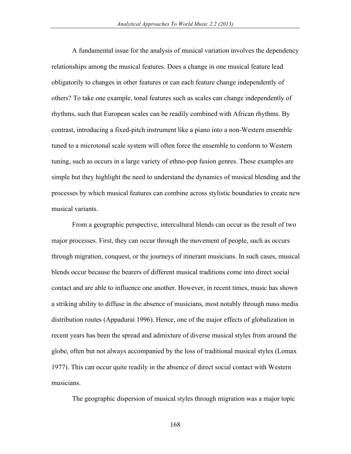A fundamental issue for the analysis of musical variation involves the dependency relationships among the musical features. Does a change in one musical feature lead obligatorily to changes in other features or can each feature change independently of others? To take one example, tonal features such as scales can change independently of rhythms, such that European scales can be readily combined with African rhythms. By contrast, introducing a fixed-pitch instrument like a piano into a non-Western ensemble tuned to a microtonal scale system will often force the ensemble to conform to Western tuning, such as occurs in a large variety of ethno-pop fusion genres. These examples are simple but they highlight the need to understand the dynamics of musical blending and the processes by which musical features can combine across stylistic boundaries to create new musical variants.

From a geographic perspective, intercultural blends can occur as the result of two major processes. First, they can occur through the movement of people, such as occurs through migration, conquest, or the journeys of itinerant musicians. In such cases, musical blends occur because the bearers of different musical traditions come into direct social contact and are able to influence one another. However, in recent times, music has shown a striking ability to diffuse in the absence of musicians, most notably through mass media distribution routes (Appadurai 1996). Hence, one of the major effects of globalization in recent years has been the spread and admixture of diverse musical styles from around the globe, often but not always accompanied by the loss of traditional musical styles (Lomax 1977). This can occur quite readily in the absence of direct social contact with Western musicians.

The geographic dispersion of musical styles through migration was a major topic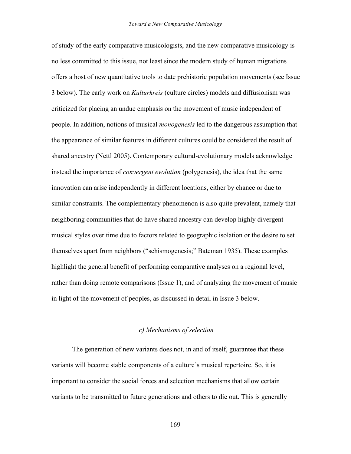of study of the early comparative musicologists, and the new comparative musicology is no less committed to this issue, not least since the modern study of human migrations offers a host of new quantitative tools to date prehistoric population movements (see Issue 3 below). The early work on *Kulturkreis* (culture circles) models and diffusionism was criticized for placing an undue emphasis on the movement of music independent of people. In addition, notions of musical *monogenesis* led to the dangerous assumption that the appearance of similar features in different cultures could be considered the result of shared ancestry (Nettl 2005). Contemporary cultural-evolutionary models acknowledge instead the importance of *convergent evolution* (polygenesis), the idea that the same innovation can arise independently in different locations, either by chance or due to similar constraints. The complementary phenomenon is also quite prevalent, namely that neighboring communities that do have shared ancestry can develop highly divergent musical styles over time due to factors related to geographic isolation or the desire to set themselves apart from neighbors ("schismogenesis;" Bateman 1935). These examples highlight the general benefit of performing comparative analyses on a regional level, rather than doing remote comparisons (Issue 1), and of analyzing the movement of music in light of the movement of peoples, as discussed in detail in Issue 3 below.

#### *c) Mechanisms of selection*

The generation of new variants does not, in and of itself, guarantee that these variants will become stable components of a culture's musical repertoire. So, it is important to consider the social forces and selection mechanisms that allow certain variants to be transmitted to future generations and others to die out. This is generally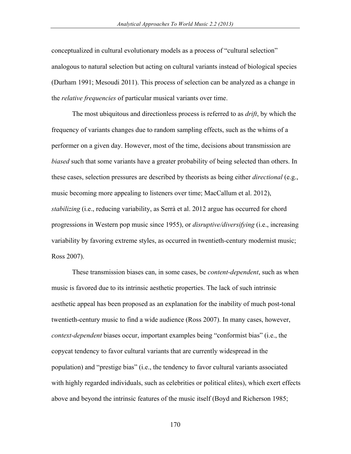conceptualized in cultural evolutionary models as a process of "cultural selection" analogous to natural selection but acting on cultural variants instead of biological species (Durham 1991; Mesoudi 2011). This process of selection can be analyzed as a change in the *relative frequencies* of particular musical variants over time.

The most ubiquitous and directionless process is referred to as *drift*, by which the frequency of variants changes due to random sampling effects, such as the whims of a performer on a given day. However, most of the time, decisions about transmission are *biased* such that some variants have a greater probability of being selected than others. In these cases, selection pressures are described by theorists as being either *directional* (e.g., music becoming more appealing to listeners over time; MacCallum et al. 2012), *stabilizing* (i.e., reducing variability, as Serrà et al. 2012 argue has occurred for chord progressions in Western pop music since 1955), or *disruptive/diversifying* (i.e., increasing variability by favoring extreme styles, as occurred in twentieth-century modernist music; Ross 2007).

These transmission biases can, in some cases, be *content-dependent*, such as when music is favored due to its intrinsic aesthetic properties. The lack of such intrinsic aesthetic appeal has been proposed as an explanation for the inability of much post-tonal twentieth-century music to find a wide audience (Ross 2007). In many cases, however, *context-dependent* biases occur, important examples being "conformist bias" (i.e., the copycat tendency to favor cultural variants that are currently widespread in the population) and "prestige bias" (i.e., the tendency to favor cultural variants associated with highly regarded individuals, such as celebrities or political elites), which exert effects above and beyond the intrinsic features of the music itself (Boyd and Richerson 1985;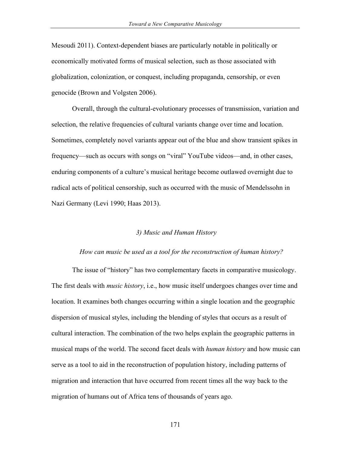Mesoudi 2011). Context-dependent biases are particularly notable in politically or economically motivated forms of musical selection, such as those associated with globalization, colonization, or conquest, including propaganda, censorship, or even genocide (Brown and Volgsten 2006).

Overall, through the cultural-evolutionary processes of transmission, variation and selection, the relative frequencies of cultural variants change over time and location. Sometimes, completely novel variants appear out of the blue and show transient spikes in frequency—such as occurs with songs on "viral" YouTube videos—and, in other cases, enduring components of a culture's musical heritage become outlawed overnight due to radical acts of political censorship, such as occurred with the music of Mendelssohn in Nazi Germany (Levi 1990; Haas 2013).

#### *3) Music and Human History*

#### *How can music be used as a tool for the reconstruction of human history?*

The issue of "history" has two complementary facets in comparative musicology. The first deals with *music history*, i.e., how music itself undergoes changes over time and location. It examines both changes occurring within a single location and the geographic dispersion of musical styles, including the blending of styles that occurs as a result of cultural interaction. The combination of the two helps explain the geographic patterns in musical maps of the world. The second facet deals with *human history* and how music can serve as a tool to aid in the reconstruction of population history, including patterns of migration and interaction that have occurred from recent times all the way back to the migration of humans out of Africa tens of thousands of years ago.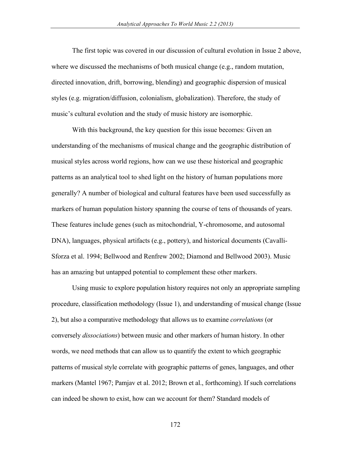The first topic was covered in our discussion of cultural evolution in Issue 2 above, where we discussed the mechanisms of both musical change (e.g., random mutation, directed innovation, drift, borrowing, blending) and geographic dispersion of musical styles (e.g. migration/diffusion, colonialism, globalization). Therefore, the study of music's cultural evolution and the study of music history are isomorphic.

With this background, the key question for this issue becomes: Given an understanding of the mechanisms of musical change and the geographic distribution of musical styles across world regions, how can we use these historical and geographic patterns as an analytical tool to shed light on the history of human populations more generally? A number of biological and cultural features have been used successfully as markers of human population history spanning the course of tens of thousands of years. These features include genes (such as mitochondrial, Y-chromosome, and autosomal DNA), languages, physical artifacts (e.g., pottery), and historical documents (Cavalli-Sforza et al. 1994; Bellwood and Renfrew 2002; Diamond and Bellwood 2003). Music has an amazing but untapped potential to complement these other markers.

Using music to explore population history requires not only an appropriate sampling procedure, classification methodology (Issue 1), and understanding of musical change (Issue 2), but also a comparative methodology that allows us to examine *correlations* (or conversely *dissociations*) between music and other markers of human history. In other words, we need methods that can allow us to quantify the extent to which geographic patterns of musical style correlate with geographic patterns of genes, languages, and other markers (Mantel 1967; Pamjav et al. 2012; Brown et al., forthcoming). If such correlations can indeed be shown to exist, how can we account for them? Standard models of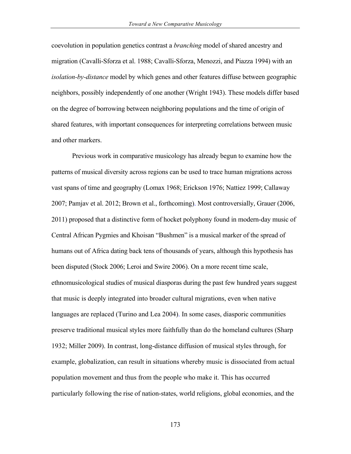coevolution in population genetics contrast a *branching* model of shared ancestry and migration (Cavalli-Sforza et al. 1988; Cavalli-Sforza, Menozzi, and Piazza 1994) with an *isolation-by-distance* model by which genes and other features diffuse between geographic neighbors, possibly independently of one another (Wright 1943). These models differ based on the degree of borrowing between neighboring populations and the time of origin of shared features, with important consequences for interpreting correlations between music and other markers.

Previous work in comparative musicology has already begun to examine how the patterns of musical diversity across regions can be used to trace human migrations across vast spans of time and geography (Lomax 1968; Erickson 1976; Nattiez 1999; Callaway 2007; Pamjav et al. 2012; Brown et al., forthcoming). Most controversially, Grauer (2006, 2011) proposed that a distinctive form of hocket polyphony found in modern-day music of Central African Pygmies and Khoisan "Bushmen" is a musical marker of the spread of humans out of Africa dating back tens of thousands of years, although this hypothesis has been disputed (Stock 2006; Leroi and Swire 2006). On a more recent time scale, ethnomusicological studies of musical diasporas during the past few hundred years suggest that music is deeply integrated into broader cultural migrations, even when native languages are replaced (Turino and Lea 2004). In some cases, diasporic communities preserve traditional musical styles more faithfully than do the homeland cultures (Sharp 1932; Miller 2009). In contrast, long-distance diffusion of musical styles through, for example, globalization, can result in situations whereby music is dissociated from actual population movement and thus from the people who make it. This has occurred particularly following the rise of nation-states, world religions, global economies, and the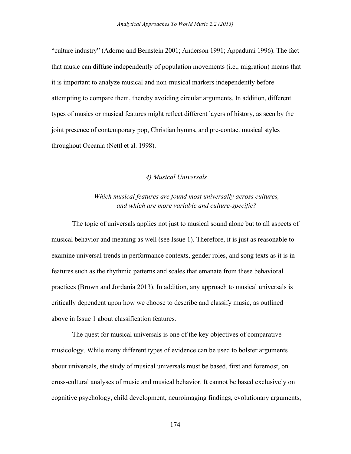"culture industry" (Adorno and Bernstein 2001; Anderson 1991; Appadurai 1996). The fact that music can diffuse independently of population movements (i.e., migration) means that it is important to analyze musical and non-musical markers independently before attempting to compare them, thereby avoiding circular arguments. In addition, different types of musics or musical features might reflect different layers of history, as seen by the joint presence of contemporary pop, Christian hymns, and pre-contact musical styles throughout Oceania (Nettl et al. 1998).

#### *4) Musical Universals*

## *Which musical features are found most universally across cultures, and which are more variable and culture-specific?*

The topic of universals applies not just to musical sound alone but to all aspects of musical behavior and meaning as well (see Issue 1). Therefore, it is just as reasonable to examine universal trends in performance contexts, gender roles, and song texts as it is in features such as the rhythmic patterns and scales that emanate from these behavioral practices (Brown and Jordania 2013). In addition, any approach to musical universals is critically dependent upon how we choose to describe and classify music, as outlined above in Issue 1 about classification features.

The quest for musical universals is one of the key objectives of comparative musicology. While many different types of evidence can be used to bolster arguments about universals, the study of musical universals must be based, first and foremost, on cross-cultural analyses of music and musical behavior. It cannot be based exclusively on cognitive psychology, child development, neuroimaging findings, evolutionary arguments,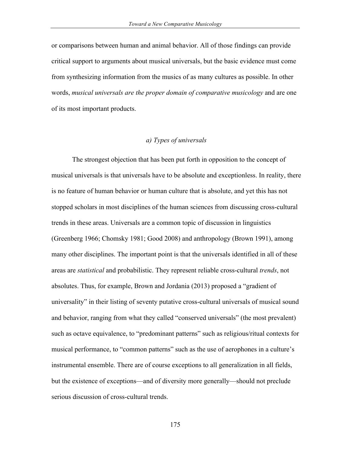or comparisons between human and animal behavior. All of those findings can provide critical support to arguments about musical universals, but the basic evidence must come from synthesizing information from the musics of as many cultures as possible. In other words, *musical universals are the proper domain of comparative musicology* and are one of its most important products.

### *a) Types of universals*

The strongest objection that has been put forth in opposition to the concept of musical universals is that universals have to be absolute and exceptionless. In reality, there is no feature of human behavior or human culture that is absolute, and yet this has not stopped scholars in most disciplines of the human sciences from discussing cross-cultural trends in these areas. Universals are a common topic of discussion in linguistics (Greenberg 1966; Chomsky 1981; Good 2008) and anthropology (Brown 1991), among many other disciplines. The important point is that the universals identified in all of these areas are *statistical* and probabilistic. They represent reliable cross-cultural *trends*, not absolutes. Thus, for example, Brown and Jordania (2013) proposed a "gradient of universality" in their listing of seventy putative cross-cultural universals of musical sound and behavior, ranging from what they called "conserved universals" (the most prevalent) such as octave equivalence, to "predominant patterns" such as religious/ritual contexts for musical performance, to "common patterns" such as the use of aerophones in a culture's instrumental ensemble. There are of course exceptions to all generalization in all fields, but the existence of exceptions—and of diversity more generally—should not preclude serious discussion of cross-cultural trends.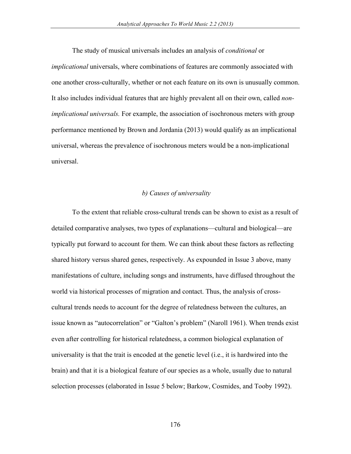The study of musical universals includes an analysis of *conditional* or *implicational* universals, where combinations of features are commonly associated with one another cross-culturally, whether or not each feature on its own is unusually common. It also includes individual features that are highly prevalent all on their own, called *nonimplicational universals.* For example, the association of isochronous meters with group performance mentioned by Brown and Jordania (2013) would qualify as an implicational universal, whereas the prevalence of isochronous meters would be a non-implicational universal.

### *b) Causes of universality*

To the extent that reliable cross-cultural trends can be shown to exist as a result of detailed comparative analyses, two types of explanations—cultural and biological—are typically put forward to account for them. We can think about these factors as reflecting shared history versus shared genes, respectively. As expounded in Issue 3 above, many manifestations of culture, including songs and instruments, have diffused throughout the world via historical processes of migration and contact. Thus, the analysis of crosscultural trends needs to account for the degree of relatedness between the cultures, an issue known as "autocorrelation" or "Galton's problem" (Naroll 1961). When trends exist even after controlling for historical relatedness, a common biological explanation of universality is that the trait is encoded at the genetic level (i.e., it is hardwired into the brain) and that it is a biological feature of our species as a whole, usually due to natural selection processes (elaborated in Issue 5 below; Barkow, Cosmides, and Tooby 1992).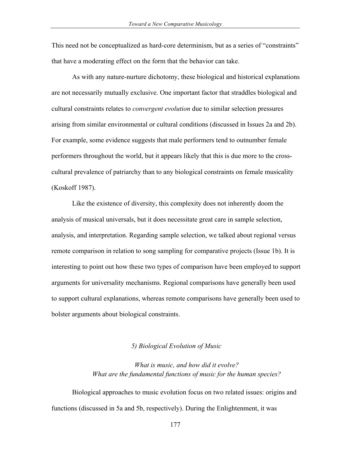This need not be conceptualized as hard-core determinism, but as a series of "constraints" that have a moderating effect on the form that the behavior can take.

As with any nature-nurture dichotomy, these biological and historical explanations are not necessarily mutually exclusive. One important factor that straddles biological and cultural constraints relates to *convergent evolution* due to similar selection pressures arising from similar environmental or cultural conditions (discussed in Issues 2a and 2b). For example, some evidence suggests that male performers tend to outnumber female performers throughout the world, but it appears likely that this is due more to the crosscultural prevalence of patriarchy than to any biological constraints on female musicality (Koskoff 1987).

Like the existence of diversity, this complexity does not inherently doom the analysis of musical universals, but it does necessitate great care in sample selection, analysis, and interpretation. Regarding sample selection, we talked about regional versus remote comparison in relation to song sampling for comparative projects (Issue 1b). It is interesting to point out how these two types of comparison have been employed to support arguments for universality mechanisms. Regional comparisons have generally been used to support cultural explanations, whereas remote comparisons have generally been used to bolster arguments about biological constraints.

#### *5) Biological Evolution of Music*

## *What is music, and how did it evolve? What are the fundamental functions of music for the human species?*

Biological approaches to music evolution focus on two related issues: origins and functions (discussed in 5a and 5b, respectively). During the Enlightenment, it was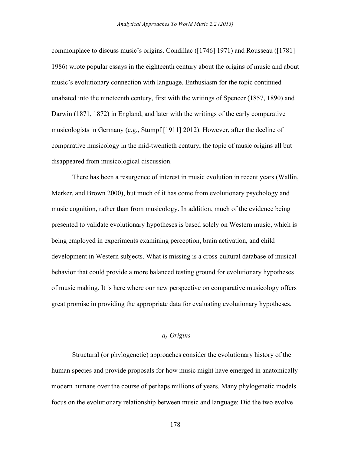commonplace to discuss music's origins. Condillac ([1746] 1971) and Rousseau ([1781] 1986) wrote popular essays in the eighteenth century about the origins of music and about music's evolutionary connection with language. Enthusiasm for the topic continued unabated into the nineteenth century, first with the writings of Spencer (1857, 1890) and Darwin (1871, 1872) in England, and later with the writings of the early comparative musicologists in Germany (e.g., Stumpf [1911] 2012). However, after the decline of comparative musicology in the mid-twentieth century, the topic of music origins all but disappeared from musicological discussion.

There has been a resurgence of interest in music evolution in recent years (Wallin, Merker, and Brown 2000), but much of it has come from evolutionary psychology and music cognition, rather than from musicology. In addition, much of the evidence being presented to validate evolutionary hypotheses is based solely on Western music, which is being employed in experiments examining perception, brain activation, and child development in Western subjects. What is missing is a cross-cultural database of musical behavior that could provide a more balanced testing ground for evolutionary hypotheses of music making. It is here where our new perspective on comparative musicology offers great promise in providing the appropriate data for evaluating evolutionary hypotheses.

### *a) Origins*

Structural (or phylogenetic) approaches consider the evolutionary history of the human species and provide proposals for how music might have emerged in anatomically modern humans over the course of perhaps millions of years. Many phylogenetic models focus on the evolutionary relationship between music and language: Did the two evolve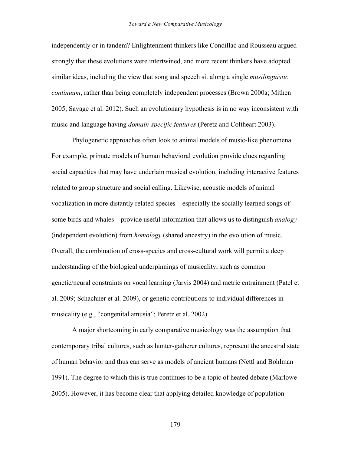independently or in tandem? Enlightenment thinkers like Condillac and Rousseau argued strongly that these evolutions were intertwined, and more recent thinkers have adopted similar ideas, including the view that song and speech sit along a single *musilinguistic continuum*, rather than being completely independent processes (Brown 2000a; Mithen 2005; Savage et al. 2012). Such an evolutionary hypothesis is in no way inconsistent with music and language having *domain-specific features* (Peretz and Coltheart 2003).

Phylogenetic approaches often look to animal models of music-like phenomena. For example, primate models of human behavioral evolution provide clues regarding social capacities that may have underlain musical evolution, including interactive features related to group structure and social calling. Likewise, acoustic models of animal vocalization in more distantly related species—especially the socially learned songs of some birds and whales—provide useful information that allows us to distinguish *analogy* (independent evolution) from *homology* (shared ancestry) in the evolution of music. Overall, the combination of cross-species and cross-cultural work will permit a deep understanding of the biological underpinnings of musicality, such as common genetic/neural constraints on vocal learning (Jarvis 2004) and metric entrainment (Patel et al. 2009; Schachner et al. 2009), or genetic contributions to individual differences in musicality (e.g., "congenital amusia"; Peretz et al. 2002).

A major shortcoming in early comparative musicology was the assumption that contemporary tribal cultures, such as hunter-gatherer cultures, represent the ancestral state of human behavior and thus can serve as models of ancient humans (Nettl and Bohlman 1991). The degree to which this is true continues to be a topic of heated debate (Marlowe 2005). However, it has become clear that applying detailed knowledge of population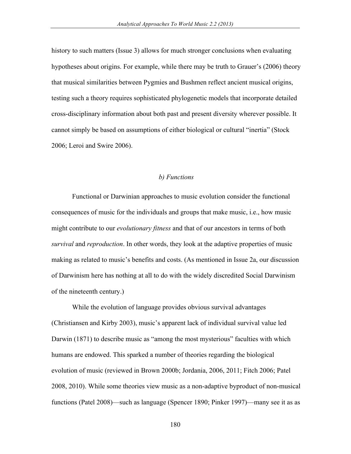history to such matters (Issue 3) allows for much stronger conclusions when evaluating hypotheses about origins. For example, while there may be truth to Grauer's (2006) theory that musical similarities between Pygmies and Bushmen reflect ancient musical origins, testing such a theory requires sophisticated phylogenetic models that incorporate detailed cross-disciplinary information about both past and present diversity wherever possible. It cannot simply be based on assumptions of either biological or cultural "inertia" (Stock 2006; Leroi and Swire 2006).

#### *b) Functions*

Functional or Darwinian approaches to music evolution consider the functional consequences of music for the individuals and groups that make music, i.e., how music might contribute to our *evolutionary fitness* and that of our ancestors in terms of both *survival* and *reproduction*. In other words, they look at the adaptive properties of music making as related to music's benefits and costs. (As mentioned in Issue 2a, our discussion of Darwinism here has nothing at all to do with the widely discredited Social Darwinism of the nineteenth century.)

While the evolution of language provides obvious survival advantages (Christiansen and Kirby 2003), music's apparent lack of individual survival value led Darwin (1871) to describe music as "among the most mysterious" faculties with which humans are endowed. This sparked a number of theories regarding the biological evolution of music (reviewed in Brown 2000b; Jordania, 2006, 2011; Fitch 2006; Patel 2008, 2010). While some theories view music as a non-adaptive byproduct of non-musical functions (Patel 2008)—such as language (Spencer 1890; Pinker 1997)—many see it as as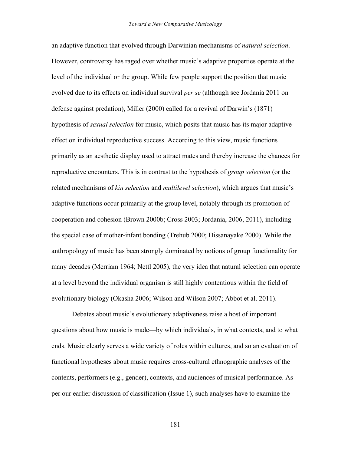an adaptive function that evolved through Darwinian mechanisms of *natural selection*. However, controversy has raged over whether music's adaptive properties operate at the level of the individual or the group. While few people support the position that music evolved due to its effects on individual survival *per se* (although see Jordania 2011 on defense against predation), Miller (2000) called for a revival of Darwin's (1871) hypothesis of *sexual selection* for music, which posits that music has its major adaptive effect on individual reproductive success. According to this view, music functions primarily as an aesthetic display used to attract mates and thereby increase the chances for reproductive encounters. This is in contrast to the hypothesis of *group selection* (or the related mechanisms of *kin selection* and *multilevel selection*), which argues that music's adaptive functions occur primarily at the group level, notably through its promotion of cooperation and cohesion (Brown 2000b; Cross 2003; Jordania, 2006, 2011), including the special case of mother-infant bonding (Trehub 2000; Dissanayake 2000). While the anthropology of music has been strongly dominated by notions of group functionality for many decades (Merriam 1964; Nettl 2005), the very idea that natural selection can operate at a level beyond the individual organism is still highly contentious within the field of evolutionary biology (Okasha 2006; Wilson and Wilson 2007; Abbot et al. 2011).

Debates about music's evolutionary adaptiveness raise a host of important questions about how music is made—by which individuals, in what contexts, and to what ends. Music clearly serves a wide variety of roles within cultures, and so an evaluation of functional hypotheses about music requires cross-cultural ethnographic analyses of the contents, performers (e.g., gender), contexts, and audiences of musical performance. As per our earlier discussion of classification (Issue 1), such analyses have to examine the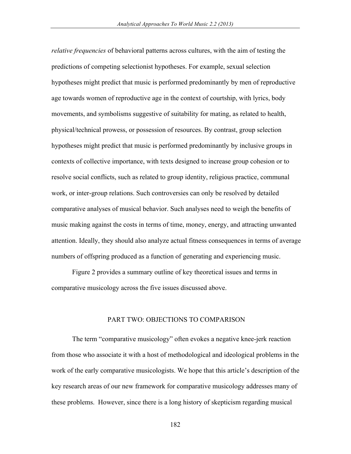*relative frequencies* of behavioral patterns across cultures, with the aim of testing the predictions of competing selectionist hypotheses. For example, sexual selection hypotheses might predict that music is performed predominantly by men of reproductive age towards women of reproductive age in the context of courtship, with lyrics, body movements, and symbolisms suggestive of suitability for mating, as related to health, physical/technical prowess, or possession of resources. By contrast, group selection hypotheses might predict that music is performed predominantly by inclusive groups in contexts of collective importance, with texts designed to increase group cohesion or to resolve social conflicts, such as related to group identity, religious practice, communal work, or inter-group relations. Such controversies can only be resolved by detailed comparative analyses of musical behavior. Such analyses need to weigh the benefits of music making against the costs in terms of time, money, energy, and attracting unwanted attention. Ideally, they should also analyze actual fitness consequences in terms of average numbers of offspring produced as a function of generating and experiencing music.

Figure 2 provides a summary outline of key theoretical issues and terms in comparative musicology across the five issues discussed above.

### PART TWO: OBJECTIONS TO COMPARISON

The term "comparative musicology" often evokes a negative knee-jerk reaction from those who associate it with a host of methodological and ideological problems in the work of the early comparative musicologists. We hope that this article's description of the key research areas of our new framework for comparative musicology addresses many of these problems. However, since there is a long history of skepticism regarding musical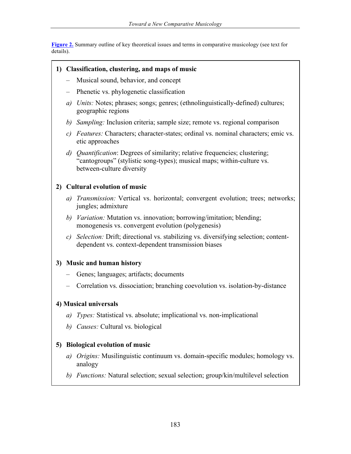**Figure 2.** Summary outline of key theoretical issues and terms in comparative musicology (see text for details).

## **1) Classification, clustering, and maps of music**

- Musical sound, behavior, and concept
- Phenetic vs. phylogenetic classification
- *a) Units:* Notes; phrases; songs; genres; (ethnolinguistically-defined) cultures; geographic regions
- *b) Sampling:* Inclusion criteria; sample size; remote vs. regional comparison
- *c) Features:* Characters; character-states; ordinal vs. nominal characters; emic vs. etic approaches
- *d) Quantification*: Degrees of similarity; relative frequencies; clustering; "cantogroups" (stylistic song-types); musical maps; within-culture vs. between-culture diversity

## **2) Cultural evolution of music**

- *a) Transmission:* Vertical vs. horizontal; convergent evolution; trees; networks; jungles; admixture
- *b) Variation:* Mutation vs. innovation; borrowing/imitation; blending; monogenesis vs. convergent evolution (polygenesis)
- *c) Selection:* Drift; directional vs. stabilizing vs. diversifying selection; contentdependent vs. context-dependent transmission biases

## **3) Music and human history**

- *–* Genes; languages; artifacts; documents
- *–* Correlation vs. dissociation; branching coevolution vs. isolation-by-distance

### **4) Musical universals**

- *a) Types:* Statistical vs. absolute; implicational vs. non-implicational
- *b) Causes:* Cultural vs. biological

## **5) Biological evolution of music**

- *a) Origins:* Musilinguistic continuum vs. domain-specific modules; homology vs. analogy
- *b) Functions:* Natural selection; sexual selection; group/kin/multilevel selection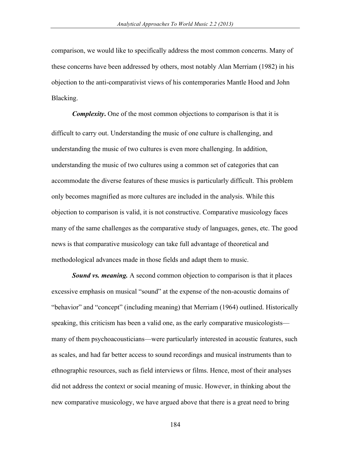comparison, we would like to specifically address the most common concerns. Many of these concerns have been addressed by others, most notably Alan Merriam (1982) in his objection to the anti-comparativist views of his contemporaries Mantle Hood and John Blacking.

*Complexity*. One of the most common objections to comparison is that it is difficult to carry out. Understanding the music of one culture is challenging, and understanding the music of two cultures is even more challenging. In addition, understanding the music of two cultures using a common set of categories that can accommodate the diverse features of these musics is particularly difficult. This problem only becomes magnified as more cultures are included in the analysis. While this objection to comparison is valid, it is not constructive. Comparative musicology faces many of the same challenges as the comparative study of languages, genes, etc. The good news is that comparative musicology can take full advantage of theoretical and methodological advances made in those fields and adapt them to music.

*Sound vs. meaning.* A second common objection to comparison is that it places excessive emphasis on musical "sound" at the expense of the non-acoustic domains of "behavior" and "concept" (including meaning) that Merriam (1964) outlined. Historically speaking, this criticism has been a valid one, as the early comparative musicologists many of them psychoacousticians—were particularly interested in acoustic features, such as scales, and had far better access to sound recordings and musical instruments than to ethnographic resources, such as field interviews or films. Hence, most of their analyses did not address the context or social meaning of music. However, in thinking about the new comparative musicology, we have argued above that there is a great need to bring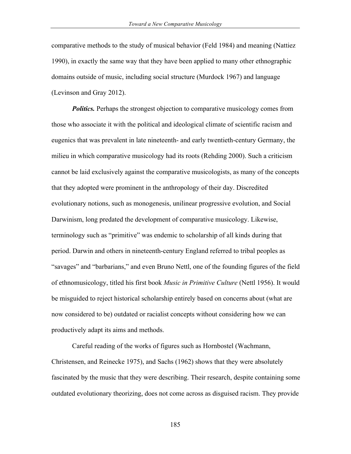comparative methods to the study of musical behavior (Feld 1984) and meaning (Nattiez 1990), in exactly the same way that they have been applied to many other ethnographic domains outside of music, including social structure (Murdock 1967) and language (Levinson and Gray 2012).

*Politics.* Perhaps the strongest objection to comparative musicology comes from those who associate it with the political and ideological climate of scientific racism and eugenics that was prevalent in late nineteenth- and early twentieth-century Germany, the milieu in which comparative musicology had its roots (Rehding 2000). Such a criticism cannot be laid exclusively against the comparative musicologists, as many of the concepts that they adopted were prominent in the anthropology of their day. Discredited evolutionary notions, such as monogenesis, unilinear progressive evolution, and Social Darwinism, long predated the development of comparative musicology. Likewise, terminology such as "primitive" was endemic to scholarship of all kinds during that period. Darwin and others in nineteenth-century England referred to tribal peoples as "savages" and "barbarians," and even Bruno Nettl, one of the founding figures of the field of ethnomusicology, titled his first book *Music in Primitive Culture* (Nettl 1956). It would be misguided to reject historical scholarship entirely based on concerns about (what are now considered to be) outdated or racialist concepts without considering how we can productively adapt its aims and methods.

Careful reading of the works of figures such as Hornbostel (Wachmann, Christensen, and Reinecke 1975), and Sachs (1962) shows that they were absolutely fascinated by the music that they were describing. Their research, despite containing some outdated evolutionary theorizing, does not come across as disguised racism. They provide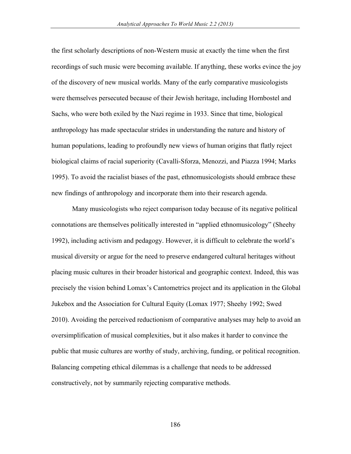the first scholarly descriptions of non-Western music at exactly the time when the first recordings of such music were becoming available. If anything, these works evince the joy of the discovery of new musical worlds. Many of the early comparative musicologists were themselves persecuted because of their Jewish heritage, including Hornbostel and Sachs, who were both exiled by the Nazi regime in 1933. Since that time, biological anthropology has made spectacular strides in understanding the nature and history of human populations, leading to profoundly new views of human origins that flatly reject biological claims of racial superiority (Cavalli-Sforza, Menozzi, and Piazza 1994; Marks 1995). To avoid the racialist biases of the past, ethnomusicologists should embrace these new findings of anthropology and incorporate them into their research agenda.

Many musicologists who reject comparison today because of its negative political connotations are themselves politically interested in "applied ethnomusicology" (Sheehy 1992), including activism and pedagogy. However, it is difficult to celebrate the world's musical diversity or argue for the need to preserve endangered cultural heritages without placing music cultures in their broader historical and geographic context. Indeed, this was precisely the vision behind Lomax's Cantometrics project and its application in the Global Jukebox and the Association for Cultural Equity (Lomax 1977; Sheehy 1992; Swed 2010). Avoiding the perceived reductionism of comparative analyses may help to avoid an oversimplification of musical complexities, but it also makes it harder to convince the public that music cultures are worthy of study, archiving, funding, or political recognition. Balancing competing ethical dilemmas is a challenge that needs to be addressed constructively, not by summarily rejecting comparative methods.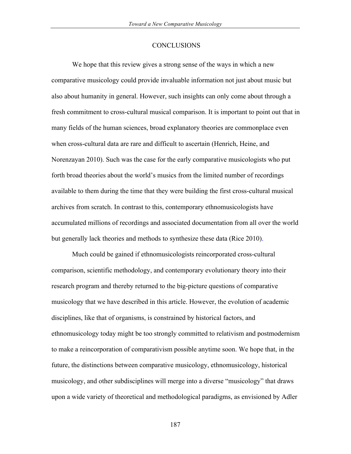#### **CONCLUSIONS**

We hope that this review gives a strong sense of the ways in which a new comparative musicology could provide invaluable information not just about music but also about humanity in general. However, such insights can only come about through a fresh commitment to cross-cultural musical comparison. It is important to point out that in many fields of the human sciences, broad explanatory theories are commonplace even when cross-cultural data are rare and difficult to ascertain (Henrich, Heine, and Norenzayan 2010). Such was the case for the early comparative musicologists who put forth broad theories about the world's musics from the limited number of recordings available to them during the time that they were building the first cross-cultural musical archives from scratch. In contrast to this, contemporary ethnomusicologists have accumulated millions of recordings and associated documentation from all over the world but generally lack theories and methods to synthesize these data (Rice 2010).

Much could be gained if ethnomusicologists reincorporated cross-cultural comparison, scientific methodology, and contemporary evolutionary theory into their research program and thereby returned to the big-picture questions of comparative musicology that we have described in this article. However, the evolution of academic disciplines, like that of organisms, is constrained by historical factors, and ethnomusicology today might be too strongly committed to relativism and postmodernism to make a reincorporation of comparativism possible anytime soon. We hope that, in the future, the distinctions between comparative musicology, ethnomusicology, historical musicology, and other subdisciplines will merge into a diverse "musicology" that draws upon a wide variety of theoretical and methodological paradigms, as envisioned by Adler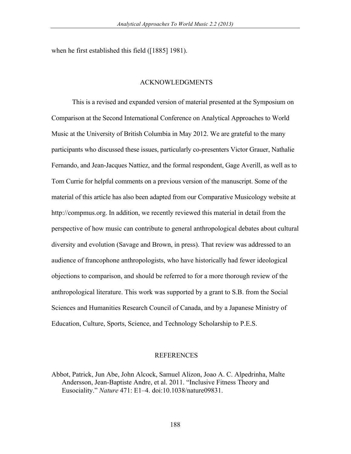when he first established this field ([1885] 1981).

### ACKNOWLEDGMENTS

This is a revised and expanded version of material presented at the Symposium on Comparison at the Second International Conference on Analytical Approaches to World Music at the University of British Columbia in May 2012. We are grateful to the many participants who discussed these issues, particularly co-presenters Victor Grauer, Nathalie Fernando, and Jean-Jacques Nattiez, and the formal respondent, Gage Averill, as well as to Tom Currie for helpful comments on a previous version of the manuscript. Some of the material of this article has also been adapted from our Comparative Musicology website at http://compmus.org. In addition, we recently reviewed this material in detail from the perspective of how music can contribute to general anthropological debates about cultural diversity and evolution (Savage and Brown, in press). That review was addressed to an audience of francophone anthropologists, who have historically had fewer ideological objections to comparison, and should be referred to for a more thorough review of the anthropological literature. This work was supported by a grant to S.B. from the Social Sciences and Humanities Research Council of Canada, and by a Japanese Ministry of Education, Culture, Sports, Science, and Technology Scholarship to P.E.S.

#### REFERENCES

Abbot, Patrick, Jun Abe, John Alcock, Samuel Alizon, Joao A. C. Alpedrinha, Malte Andersson, Jean-Baptiste Andre, et al. 2011. "Inclusive Fitness Theory and Eusociality." *Nature* 471: E1–4. doi:10.1038/nature09831.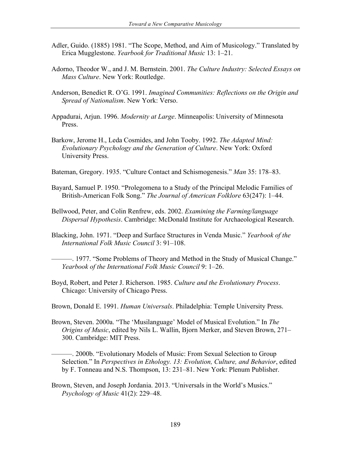- Adler, Guido. (1885) 1981. "The Scope, Method, and Aim of Musicology." Translated by Erica Mugglestone. *Yearbook for Traditional Music* 13: 1–21.
- Adorno, Theodor W., and J. M. Bernstein. 2001. *The Culture Industry: Selected Essays on Mass Culture*. New York: Routledge.
- Anderson, Benedict R. O'G. 1991. *Imagined Communities: Reflections on the Origin and Spread of Nationalism*. New York: Verso.
- Appadurai, Arjun. 1996. *Modernity at Large*. Minneapolis: University of Minnesota Press.
- Barkow, Jerome H., Leda Cosmides, and John Tooby. 1992. *The Adapted Mind: Evolutionary Psychology and the Generation of Culture*. New York: Oxford University Press.
- Bateman, Gregory. 1935. "Culture Contact and Schismogenesis." *Man* 35: 178–83.
- Bayard, Samuel P. 1950. "Prolegomena to a Study of the Principal Melodic Families of British-American Folk Song." *The Journal of American Folklore* 63(247): 1–44.
- Bellwood, Peter, and Colin Renfrew, eds. 2002. *Examining the Farming/language Dispersal Hypothesis*. Cambridge: McDonald Institute for Archaeological Research.
- Blacking, John. 1971. "Deep and Surface Structures in Venda Music." *Yearbook of the International Folk Music Council* 3: 91–108.

———. 1977. "Some Problems of Theory and Method in the Study of Musical Change." *Yearbook of the International Folk Music Council* 9: 1–26.

- Boyd, Robert, and Peter J. Richerson. 1985. *Culture and the Evolutionary Process*. Chicago: University of Chicago Press.
- Brown, Donald E. 1991. *Human Universals*. Philadelphia: Temple University Press.
- Brown, Steven. 2000a. "The 'Musilanguage' Model of Musical Evolution." In *The Origins of Music*, edited by Nils L. Wallin, Bjorn Merker, and Steven Brown, 271– 300. Cambridge: MIT Press.

———. 2000b. "Evolutionary Models of Music: From Sexual Selection to Group Selection." In *Perspectives in Ethology. 13: Evolution, Culture, and Behavior*, edited by F. Tonneau and N.S. Thompson, 13: 231–81. New York: Plenum Publisher.

Brown, Steven, and Joseph Jordania. 2013. "Universals in the World's Musics." *Psychology of Music* 41(2): 229–48.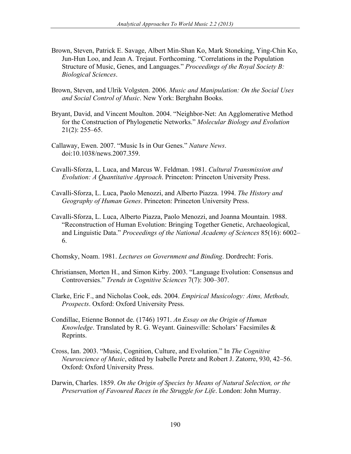- Brown, Steven, Patrick E. Savage, Albert Min-Shan Ko, Mark Stoneking, Ying-Chin Ko, Jun-Hun Loo, and Jean A. Trejaut. Forthcoming. "Correlations in the Population Structure of Music, Genes, and Languages." *Proceedings of the Royal Society B: Biological Sciences*.
- Brown, Steven, and Ulrik Volgsten. 2006. *Music and Manipulation: On the Social Uses and Social Control of Music*. New York: Berghahn Books.
- Bryant, David, and Vincent Moulton. 2004. "Neighbor-Net: An Agglomerative Method for the Construction of Phylogenetic Networks." *Molecular Biology and Evolution* 21(2): 255–65.
- Callaway, Ewen. 2007. "Music Is in Our Genes." *Nature News*. doi:10.1038/news.2007.359.
- Cavalli-Sforza, L. Luca, and Marcus W. Feldman. 1981. *Cultural Transmission and Evolution: A Quantitative Approach*. Princeton: Princeton University Press.
- Cavalli-Sforza, L. Luca, Paolo Menozzi, and Alberto Piazza. 1994. *The History and Geography of Human Genes*. Princeton: Princeton University Press.
- Cavalli-Sforza, L. Luca, Alberto Piazza, Paolo Menozzi, and Joanna Mountain. 1988. "Reconstruction of Human Evolution: Bringing Together Genetic, Archaeological, and Linguistic Data." *Proceedings of the National Academy of Sciences* 85(16): 6002– 6.
- Chomsky, Noam. 1981. *Lectures on Government and Binding*. Dordrecht: Foris.
- Christiansen, Morten H., and Simon Kirby. 2003. "Language Evolution: Consensus and Controversies." *Trends in Cognitive Sciences* 7(7): 300–307.
- Clarke, Eric F., and Nicholas Cook, eds. 2004. *Empirical Musicology: Aims, Methods, Prospects*. Oxford: Oxford University Press.
- Condillac, Etienne Bonnot de. (1746) 1971. *An Essay on the Origin of Human Knowledge*. Translated by R. G. Weyant. Gainesville: Scholars' Facsimiles & Reprints.
- Cross, Ian. 2003. "Music, Cognition, Culture, and Evolution." In *The Cognitive Neuroscience of Music*, edited by Isabelle Peretz and Robert J. Zatorre, 930, 42–56. Oxford: Oxford University Press.
- Darwin, Charles. 1859. *On the Origin of Species by Means of Natural Selection, or the Preservation of Favoured Races in the Struggle for Life*. London: John Murray.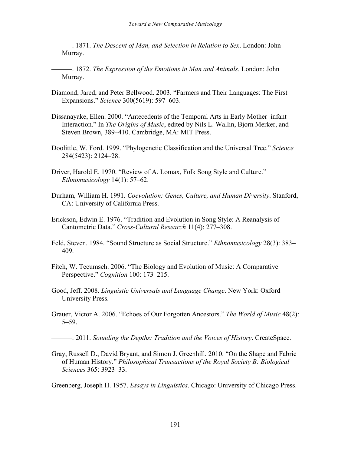———. 1871. *The Descent of Man, and Selection in Relation to Sex*. London: John Murray.

———. 1872. *The Expression of the Emotions in Man and Animals*. London: John Murray.

- Diamond, Jared, and Peter Bellwood. 2003. "Farmers and Their Languages: The First Expansions." *Science* 300(5619): 597–603.
- Dissanayake, Ellen. 2000. "Antecedents of the Temporal Arts in Early Mother–infant Interaction." In *The Origins of Music*, edited by Nils L. Wallin, Bjorn Merker, and Steven Brown, 389–410. Cambridge, MA: MIT Press.
- Doolittle, W. Ford. 1999. "Phylogenetic Classification and the Universal Tree." *Science* 284(5423): 2124–28.
- Driver, Harold E. 1970. "Review of A. Lomax, Folk Song Style and Culture." *Ethnomusicology* 14(1): 57–62.
- Durham, William H. 1991. *Coevolution: Genes, Culture, and Human Diversity*. Stanford, CA: University of California Press.
- Erickson, Edwin E. 1976. "Tradition and Evolution in Song Style: A Reanalysis of Cantometric Data." *Cross-Cultural Research* 11(4): 277–308.
- Feld, Steven. 1984. "Sound Structure as Social Structure." *Ethnomusicology* 28(3): 383– 409.
- Fitch, W. Tecumseh. 2006. "The Biology and Evolution of Music: A Comparative Perspective." *Cognition* 100: 173–215.
- Good, Jeff. 2008. *Linguistic Universals and Language Change*. New York: Oxford University Press.
- Grauer, Victor A. 2006. "Echoes of Our Forgotten Ancestors." *The World of Music* 48(2): 5–59.

———. 2011. *Sounding the Depths: Tradition and the Voices of History*. CreateSpace.

Gray, Russell D., David Bryant, and Simon J. Greenhill. 2010. "On the Shape and Fabric of Human History." *Philosophical Transactions of the Royal Society B: Biological Sciences* 365: 3923–33.

Greenberg, Joseph H. 1957. *Essays in Linguistics*. Chicago: University of Chicago Press.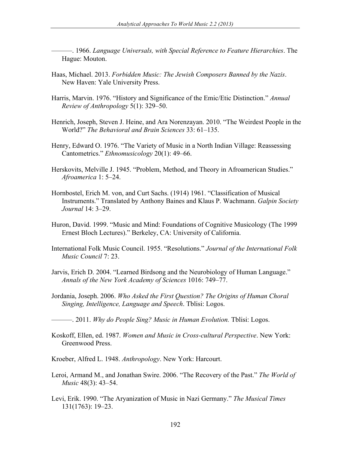———. 1966. *Language Universals, with Special Reference to Feature Hierarchies*. The Hague: Mouton.

- Haas, Michael. 2013. *Forbidden Music: The Jewish Composers Banned by the Nazis*. New Haven: Yale University Press.
- Harris, Marvin. 1976. "History and Significance of the Emic/Etic Distinction." *Annual Review of Anthropology* 5(1): 329–50.
- Henrich, Joseph, Steven J. Heine, and Ara Norenzayan. 2010. "The Weirdest People in the World?" *The Behavioral and Brain Sciences* 33: 61–135.
- Henry, Edward O. 1976. "The Variety of Music in a North Indian Village: Reassessing Cantometrics." *Ethnomusicology* 20(1): 49–66.
- Herskovits, Melville J. 1945. "Problem, Method, and Theory in Afroamerican Studies." *Afroamerica* 1: 5–24.
- Hornbostel, Erich M. von, and Curt Sachs. (1914) 1961. "Classification of Musical Instruments." Translated by Anthony Baines and Klaus P. Wachmann. *Galpin Society Journal* 14: 3–29.
- Huron, David. 1999. "Music and Mind: Foundations of Cognitive Musicology (The 1999 Ernest Bloch Lectures)." Berkeley, CA: University of California.
- International Folk Music Council. 1955. "Resolutions." *Journal of the International Folk Music Council* 7: 23.
- Jarvis, Erich D. 2004. "Learned Birdsong and the Neurobiology of Human Language." *Annals of the New York Academy of Sciences* 1016: 749–77.
- Jordania, Joseph. 2006. *Who Asked the First Question? The Origins of Human Choral Singing, Intelligence, Language and Speech*. Tblisi: Logos.
- ———. 2011. *Why do People Sing? Music in Human Evolution.* Tblisi: Logos.
- Koskoff, Ellen, ed. 1987. *Women and Music in Cross-cultural Perspective*. New York: Greenwood Press.
- Kroeber, Alfred L. 1948. *Anthropology*. New York: Harcourt.
- Leroi, Armand M., and Jonathan Swire. 2006. "The Recovery of the Past." *The World of Music* 48(3): 43–54.
- Levi, Erik. 1990. "The Aryanization of Music in Nazi Germany." *The Musical Times* 131(1763): 19–23.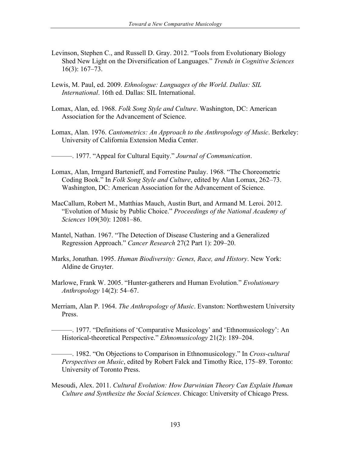- Levinson, Stephen C., and Russell D. Gray. 2012. "Tools from Evolutionary Biology Shed New Light on the Diversification of Languages." *Trends in Cognitive Sciences* 16(3): 167–73.
- Lewis, M. Paul, ed. 2009. *Ethnologue: Languages of the World*. *Dallas: SIL International*. 16th ed. Dallas: SIL International.
- Lomax, Alan, ed. 1968. *Folk Song Style and Culture*. Washington, DC: American Association for the Advancement of Science.
- Lomax, Alan. 1976. *Cantometrics: An Approach to the Anthropology of Music*. Berkeley: University of California Extension Media Center.
- ———. 1977. "Appeal for Cultural Equity." *Journal of Communication*.
- Lomax, Alan, Irmgard Bartenieff, and Forrestine Paulay. 1968. "The Choreometric Coding Book." In *Folk Song Style and Culture*, edited by Alan Lomax, 262–73. Washington, DC: American Association for the Advancement of Science.
- MacCallum, Robert M., Matthias Mauch, Austin Burt, and Armand M. Leroi. 2012. "Evolution of Music by Public Choice." *Proceedings of the National Academy of Sciences* 109(30): 12081–86.
- Mantel, Nathan. 1967. "The Detection of Disease Clustering and a Generalized Regression Approach." *Cancer Research* 27(2 Part 1): 209–20.
- Marks, Jonathan. 1995. *Human Biodiversity: Genes, Race, and History*. New York: Aldine de Gruyter.
- Marlowe, Frank W. 2005. "Hunter-gatherers and Human Evolution." *Evolutionary Anthropology* 14(2): 54–67.
- Merriam, Alan P. 1964. *The Anthropology of Music*. Evanston: Northwestern University Press.

———. 1977. "Definitions of 'Comparative Musicology' and 'Ethnomusicology': An Historical-theoretical Perspective." *Ethnomusicology* 21(2): 189–204.

———. 1982. "On Objections to Comparison in Ethnomusicology." In *Cross-cultural Perspectives on Music*, edited by Robert Falck and Timothy Rice, 175–89. Toronto: University of Toronto Press.

Mesoudi, Alex. 2011. *Cultural Evolution: How Darwinian Theory Can Explain Human Culture and Synthesize the Social Sciences*. Chicago: University of Chicago Press.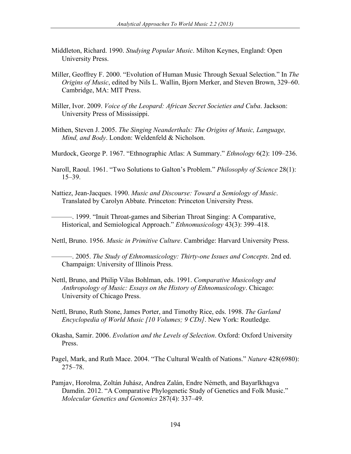- Middleton, Richard. 1990. *Studying Popular Music*. Milton Keynes, England: Open University Press.
- Miller, Geoffrey F. 2000. "Evolution of Human Music Through Sexual Selection." In *The Origins of Music*, edited by Nils L. Wallin, Bjorn Merker, and Steven Brown, 329–60. Cambridge, MA: MIT Press.
- Miller, Ivor. 2009. *Voice of the Leopard: African Secret Societies and Cuba*. Jackson: University Press of Mississippi.
- Mithen, Steven J. 2005. *The Singing Neanderthals: The Origins of Music, Language, Mind, and Body*. London: Weldenfeld & Nicholson.
- Murdock, George P. 1967. "Ethnographic Atlas: A Summary." *Ethnology* 6(2): 109–236.
- Naroll, Raoul. 1961. "Two Solutions to Galton's Problem." *Philosophy of Science* 28(1): 15–39.
- Nattiez, Jean-Jacques. 1990. *Music and Discourse: Toward a Semiology of Music*. Translated by Carolyn Abbate. Princeton: Princeton University Press.

———. 1999. "Inuit Throat-games and Siberian Throat Singing: A Comparative, Historical, and Semiological Approach." *Ethnomusicology* 43(3): 399–418.

Nettl, Bruno. 1956. *Music in Primitive Culture*. Cambridge: Harvard University Press.

———. 2005. *The Study of Ethnomusicology: Thirty-one Issues and Concepts*. 2nd ed. Champaign: University of Illinois Press.

- Nettl, Bruno, and Philip Vilas Bohlman, eds. 1991. *Comparative Musicology and Anthropology of Music: Essays on the History of Ethnomusicology*. Chicago: University of Chicago Press.
- Nettl, Bruno, Ruth Stone, James Porter, and Timothy Rice, eds. 1998. *The Garland Encyclopedia of World Music [10 Volumes; 9 CDs]*. New York: Routledge.
- Okasha, Samir. 2006. *Evolution and the Levels of Selection*. Oxford: Oxford University Press.
- Pagel, Mark, and Ruth Mace. 2004. "The Cultural Wealth of Nations." *Nature* 428(6980): 275–78.
- Pamjav, Horolma, Zoltán Juhász, Andrea Zalán, Endre Németh, and Bayarlkhagva Damdin. 2012. "A Comparative Phylogenetic Study of Genetics and Folk Music." *Molecular Genetics and Genomics* 287(4): 337–49.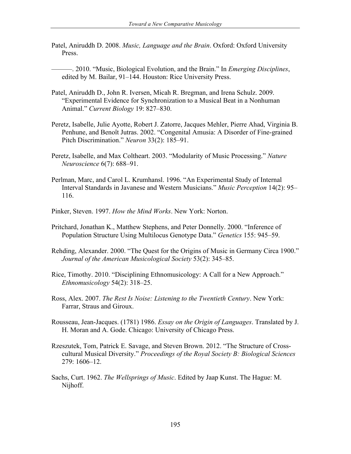- Patel, Aniruddh D. 2008. *Music, Language and the Brain*. Oxford: Oxford University Press.
- ———. 2010. "Music, Biological Evolution, and the Brain." In *Emerging Disciplines*, edited by M. Bailar, 91–144. Houston: Rice University Press.
- Patel, Aniruddh D., John R. Iversen, Micah R. Bregman, and Irena Schulz. 2009. "Experimental Evidence for Synchronization to a Musical Beat in a Nonhuman Animal." *Current Biology* 19: 827–830.
- Peretz, Isabelle, Julie Ayotte, Robert J. Zatorre, Jacques Mehler, Pierre Ahad, Virginia B. Penhune, and Benoît Jutras. 2002. "Congenital Amusia: A Disorder of Fine-grained Pitch Discrimination." *Neuron* 33(2): 185–91.
- Peretz, Isabelle, and Max Coltheart. 2003. "Modularity of Music Processing." *Nature Neuroscience* 6(7): 688–91.
- Perlman, Marc, and Carol L. Krumhansl. 1996. "An Experimental Study of Internal Interval Standards in Javanese and Western Musicians." *Music Perception* 14(2): 95– 116.
- Pinker, Steven. 1997. *How the Mind Works*. New York: Norton.
- Pritchard, Jonathan K., Matthew Stephens, and Peter Donnelly. 2000. "Inference of Population Structure Using Multilocus Genotype Data." *Genetics* 155: 945–59.
- Rehding, Alexander. 2000. "The Quest for the Origins of Music in Germany Circa 1900." *Journal of the American Musicological Society* 53(2): 345–85.
- Rice, Timothy. 2010. "Disciplining Ethnomusicology: A Call for a New Approach." *Ethnomusicology* 54(2): 318–25.
- Ross, Alex. 2007. *The Rest Is Noise: Listening to the Twentieth Century*. New York: Farrar, Straus and Giroux.
- Rousseau, Jean-Jacques. (1781) 1986. *Essay on the Origin of Languages*. Translated by J. H. Moran and A. Gode. Chicago: University of Chicago Press.
- Rzeszutek, Tom, Patrick E. Savage, and Steven Brown. 2012. "The Structure of Crosscultural Musical Diversity." *Proceedings of the Royal Society B: Biological Sciences* 279: 1606–12.
- Sachs, Curt. 1962. *The Wellsprings of Music*. Edited by Jaap Kunst. The Hague: M. Nijhoff.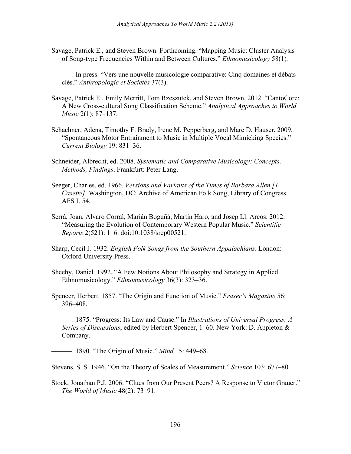Savage, Patrick E., and Steven Brown. Forthcoming. "Mapping Music: Cluster Analysis of Song-type Frequencies Within and Between Cultures." *Ethnomusicology* 58(1)*.*

———. In press. "Vers une nouvelle musicologie comparative: Cinq domaines et débats clés." *Anthropologie et Sociétés* 37(3).

- Savage, Patrick E., Emily Merritt, Tom Rzeszutek, and Steven Brown. 2012. "CantoCore: A New Cross-cultural Song Classification Scheme." *Analytical Approaches to World Music* 2(1): 87–137.
- Schachner, Adena, Timothy F. Brady, Irene M. Pepperberg, and Marc D. Hauser. 2009. "Spontaneous Motor Entrainment to Music in Multiple Vocal Mimicking Species." *Current Biology* 19: 831–36.
- Schneider, Albrecht, ed. 2008. *Systematic and Comparative Musicology: Concepts, Methods, Findings*. Frankfurt: Peter Lang.
- Seeger, Charles, ed. 1966. *Versions and Variants of the Tunes of Barbara Allen [1 Casette]*. Washington, DC: Archive of American Folk Song, Library of Congress. AFS L 54.
- Serrà, Joan, Álvaro Corral, Marián Boguñá, Martín Haro, and Josep Ll. Arcos. 2012. "Measuring the Evolution of Contemporary Western Popular Music." *Scientific Reports* 2(521): 1–6. doi:10.1038/srep00521.
- Sharp, Cecil J. 1932. *English Folk Songs from the Southern Appalachians*. London: Oxford University Press.
- Sheehy, Daniel. 1992. "A Few Notions About Philosophy and Strategy in Applied Ethnomusicology." *Ethnomusicology* 36(3): 323–36.
- Spencer, Herbert. 1857. "The Origin and Function of Music." *Fraser's Magazine* 56: 396–408.
	- ———. 1875. "Progress: Its Law and Cause." In *Illustrations of Universal Progress: A Series of Discussions*, edited by Herbert Spencer, 1–60. New York: D. Appleton & Company.

———. 1890. "The Origin of Music." *Mind* 15: 449–68.

Stevens, S. S. 1946. "On the Theory of Scales of Measurement." *Science* 103: 677–80.

Stock, Jonathan P.J. 2006. "Clues from Our Present Peers? A Response to Victor Grauer." *The World of Music* 48(2): 73–91.